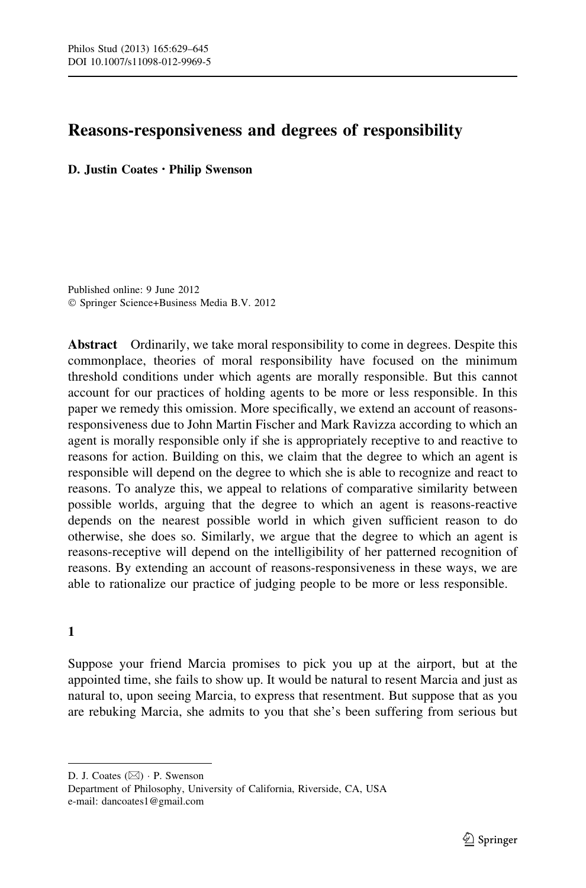# Reasons-responsiveness and degrees of responsibility

D. Justin Coates • Philip Swenson

Published online: 9 June 2012 - Springer Science+Business Media B.V. 2012

Abstract Ordinarily, we take moral responsibility to come in degrees. Despite this commonplace, theories of moral responsibility have focused on the minimum threshold conditions under which agents are morally responsible. But this cannot account for our practices of holding agents to be more or less responsible. In this paper we remedy this omission. More specifically, we extend an account of reasonsresponsiveness due to John Martin Fischer and Mark Ravizza according to which an agent is morally responsible only if she is appropriately receptive to and reactive to reasons for action. Building on this, we claim that the degree to which an agent is responsible will depend on the degree to which she is able to recognize and react to reasons. To analyze this, we appeal to relations of comparative similarity between possible worlds, arguing that the degree to which an agent is reasons-reactive depends on the nearest possible world in which given sufficient reason to do otherwise, she does so. Similarly, we argue that the degree to which an agent is reasons-receptive will depend on the intelligibility of her patterned recognition of reasons. By extending an account of reasons-responsiveness in these ways, we are able to rationalize our practice of judging people to be more or less responsible.

# 1

Suppose your friend Marcia promises to pick you up at the airport, but at the appointed time, she fails to show up. It would be natural to resent Marcia and just as natural to, upon seeing Marcia, to express that resentment. But suppose that as you are rebuking Marcia, she admits to you that she's been suffering from serious but

D. J. Coates  $(\boxtimes) \cdot P$ . Swenson Department of Philosophy, University of California, Riverside, CA, USA e-mail: dancoates1@gmail.com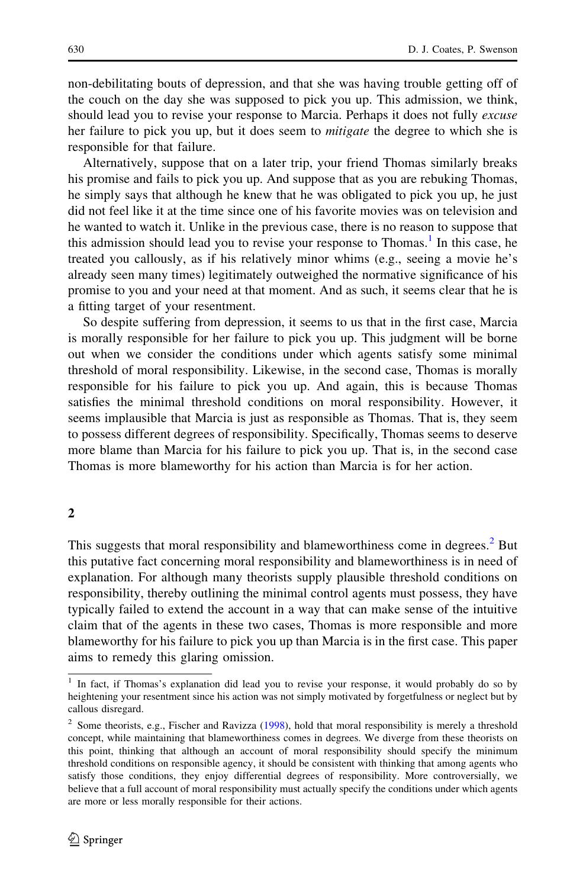non-debilitating bouts of depression, and that she was having trouble getting off of the couch on the day she was supposed to pick you up. This admission, we think, should lead you to revise your response to Marcia. Perhaps it does not fully *excuse* her failure to pick you up, but it does seem to *mitigate* the degree to which she is responsible for that failure.

Alternatively, suppose that on a later trip, your friend Thomas similarly breaks his promise and fails to pick you up. And suppose that as you are rebuking Thomas, he simply says that although he knew that he was obligated to pick you up, he just did not feel like it at the time since one of his favorite movies was on television and he wanted to watch it. Unlike in the previous case, there is no reason to suppose that this admission should lead you to revise your response to Thomas.<sup>1</sup> In this case, he treated you callously, as if his relatively minor whims (e.g., seeing a movie he's already seen many times) legitimately outweighed the normative significance of his promise to you and your need at that moment. And as such, it seems clear that he is a fitting target of your resentment.

So despite suffering from depression, it seems to us that in the first case, Marcia is morally responsible for her failure to pick you up. This judgment will be borne out when we consider the conditions under which agents satisfy some minimal threshold of moral responsibility. Likewise, in the second case, Thomas is morally responsible for his failure to pick you up. And again, this is because Thomas satisfies the minimal threshold conditions on moral responsibility. However, it seems implausible that Marcia is just as responsible as Thomas. That is, they seem to possess different degrees of responsibility. Specifically, Thomas seems to deserve more blame than Marcia for his failure to pick you up. That is, in the second case Thomas is more blameworthy for his action than Marcia is for her action.

# 2

This suggests that moral responsibility and blameworthiness come in degrees.<sup>2</sup> But this putative fact concerning moral responsibility and blameworthiness is in need of explanation. For although many theorists supply plausible threshold conditions on responsibility, thereby outlining the minimal control agents must possess, they have typically failed to extend the account in a way that can make sense of the intuitive claim that of the agents in these two cases, Thomas is more responsible and more blameworthy for his failure to pick you up than Marcia is in the first case. This paper aims to remedy this glaring omission.

<sup>&</sup>lt;sup>1</sup> In fact, if Thomas's explanation did lead you to revise your response, it would probably do so by heightening your resentment since his action was not simply motivated by forgetfulness or neglect but by callous disregard.

<sup>&</sup>lt;sup>2</sup> Some theorists, e.g., Fischer and Ravizza ([1998\)](#page-15-0), hold that moral responsibility is merely a threshold concept, while maintaining that blameworthiness comes in degrees. We diverge from these theorists on this point, thinking that although an account of moral responsibility should specify the minimum threshold conditions on responsible agency, it should be consistent with thinking that among agents who satisfy those conditions, they enjoy differential degrees of responsibility. More controversially, we believe that a full account of moral responsibility must actually specify the conditions under which agents are more or less morally responsible for their actions.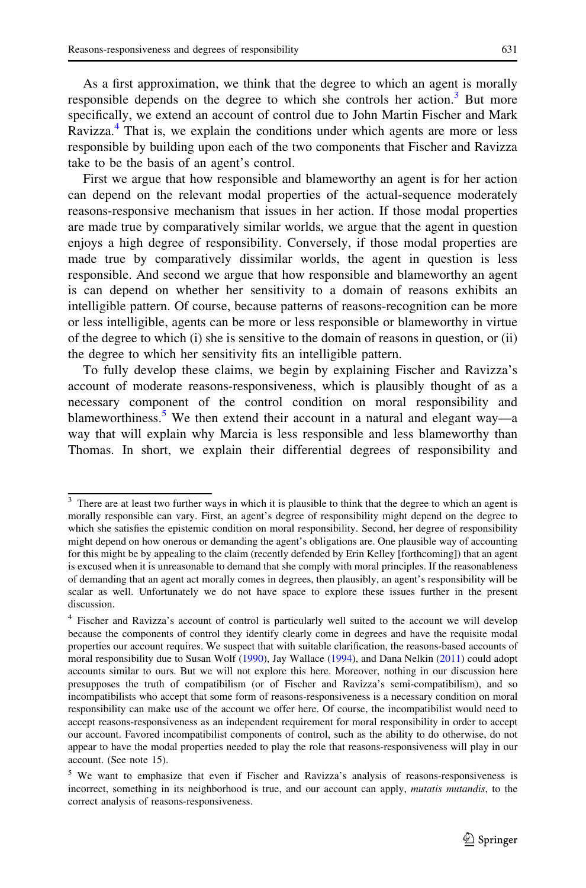As a first approximation, we think that the degree to which an agent is morally responsible depends on the degree to which she controls her action. $3$  But more specifically, we extend an account of control due to John Martin Fischer and Mark Ravizza. $4$  That is, we explain the conditions under which agents are more or less responsible by building upon each of the two components that Fischer and Ravizza take to be the basis of an agent's control.

First we argue that how responsible and blameworthy an agent is for her action can depend on the relevant modal properties of the actual-sequence moderately reasons-responsive mechanism that issues in her action. If those modal properties are made true by comparatively similar worlds, we argue that the agent in question enjoys a high degree of responsibility. Conversely, if those modal properties are made true by comparatively dissimilar worlds, the agent in question is less responsible. And second we argue that how responsible and blameworthy an agent is can depend on whether her sensitivity to a domain of reasons exhibits an intelligible pattern. Of course, because patterns of reasons-recognition can be more or less intelligible, agents can be more or less responsible or blameworthy in virtue of the degree to which (i) she is sensitive to the domain of reasons in question, or (ii) the degree to which her sensitivity fits an intelligible pattern.

To fully develop these claims, we begin by explaining Fischer and Ravizza's account of moderate reasons-responsiveness, which is plausibly thought of as a necessary component of the control condition on moral responsibility and blameworthiness.<sup>5</sup> We then extend their account in a natural and elegant way—a way that will explain why Marcia is less responsible and less blameworthy than Thomas. In short, we explain their differential degrees of responsibility and

<sup>&</sup>lt;sup>3</sup> There are at least two further ways in which it is plausible to think that the degree to which an agent is morally responsible can vary. First, an agent's degree of responsibility might depend on the degree to which she satisfies the epistemic condition on moral responsibility. Second, her degree of responsibility might depend on how onerous or demanding the agent's obligations are. One plausible way of accounting for this might be by appealing to the claim (recently defended by Erin Kelley [forthcoming]) that an agent is excused when it is unreasonable to demand that she comply with moral principles. If the reasonableness of demanding that an agent act morally comes in degrees, then plausibly, an agent's responsibility will be scalar as well. Unfortunately we do not have space to explore these issues further in the present discussion.

<sup>4</sup> Fischer and Ravizza's account of control is particularly well suited to the account we will develop because the components of control they identify clearly come in degrees and have the requisite modal properties our account requires. We suspect that with suitable clarification, the reasons-based accounts of moral responsibility due to Susan Wolf ([1990\)](#page-16-0), Jay Wallace [\(1994](#page-16-0)), and Dana Nelkin [\(2011\)](#page-16-0) could adopt accounts similar to ours. But we will not explore this here. Moreover, nothing in our discussion here presupposes the truth of compatibilism (or of Fischer and Ravizza's semi-compatibilism), and so incompatibilists who accept that some form of reasons-responsiveness is a necessary condition on moral responsibility can make use of the account we offer here. Of course, the incompatibilist would need to accept reasons-responsiveness as an independent requirement for moral responsibility in order to accept our account. Favored incompatibilist components of control, such as the ability to do otherwise, do not appear to have the modal properties needed to play the role that reasons-responsiveness will play in our account. (See note 15).

<sup>5</sup> We want to emphasize that even if Fischer and Ravizza's analysis of reasons-responsiveness is incorrect, something in its neighborhood is true, and our account can apply, *mutatis mutandis*, to the correct analysis of reasons-responsiveness.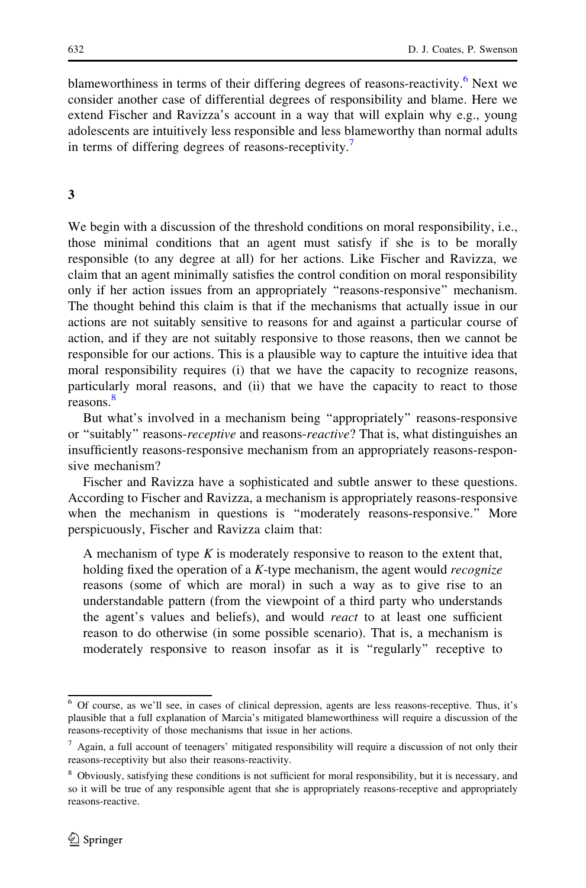blameworthiness in terms of their differing degrees of reasons-reactivity.<sup>6</sup> Next we consider another case of differential degrees of responsibility and blame. Here we extend Fischer and Ravizza's account in a way that will explain why e.g., young adolescents are intuitively less responsible and less blameworthy than normal adults in terms of differing degrees of reasons-receptivity.<sup>7</sup>

# 3

We begin with a discussion of the threshold conditions on moral responsibility, i.e., those minimal conditions that an agent must satisfy if she is to be morally responsible (to any degree at all) for her actions. Like Fischer and Ravizza, we claim that an agent minimally satisfies the control condition on moral responsibility only if her action issues from an appropriately ''reasons-responsive'' mechanism. The thought behind this claim is that if the mechanisms that actually issue in our actions are not suitably sensitive to reasons for and against a particular course of action, and if they are not suitably responsive to those reasons, then we cannot be responsible for our actions. This is a plausible way to capture the intuitive idea that moral responsibility requires (i) that we have the capacity to recognize reasons, particularly moral reasons, and (ii) that we have the capacity to react to those reasons.<sup>8</sup>

But what's involved in a mechanism being ''appropriately'' reasons-responsive or "suitably" reasons-receptive and reasons-reactive? That is, what distinguishes an insufficiently reasons-responsive mechanism from an appropriately reasons-responsive mechanism?

Fischer and Ravizza have a sophisticated and subtle answer to these questions. According to Fischer and Ravizza, a mechanism is appropriately reasons-responsive when the mechanism in questions is ''moderately reasons-responsive.'' More perspicuously, Fischer and Ravizza claim that:

A mechanism of type  $K$  is moderately responsive to reason to the extent that, holding fixed the operation of a  $K$ -type mechanism, the agent would *recognize* reasons (some of which are moral) in such a way as to give rise to an understandable pattern (from the viewpoint of a third party who understands the agent's values and beliefs), and would react to at least one sufficient reason to do otherwise (in some possible scenario). That is, a mechanism is moderately responsive to reason insofar as it is ''regularly'' receptive to

<sup>6</sup> Of course, as we'll see, in cases of clinical depression, agents are less reasons-receptive. Thus, it's plausible that a full explanation of Marcia's mitigated blameworthiness will require a discussion of the reasons-receptivity of those mechanisms that issue in her actions.

 $<sup>7</sup>$  Again, a full account of teenagers' mitigated responsibility will require a discussion of not only their</sup> reasons-receptivity but also their reasons-reactivity.

<sup>8</sup> Obviously, satisfying these conditions is not sufficient for moral responsibility, but it is necessary, and so it will be true of any responsible agent that she is appropriately reasons-receptive and appropriately reasons-reactive.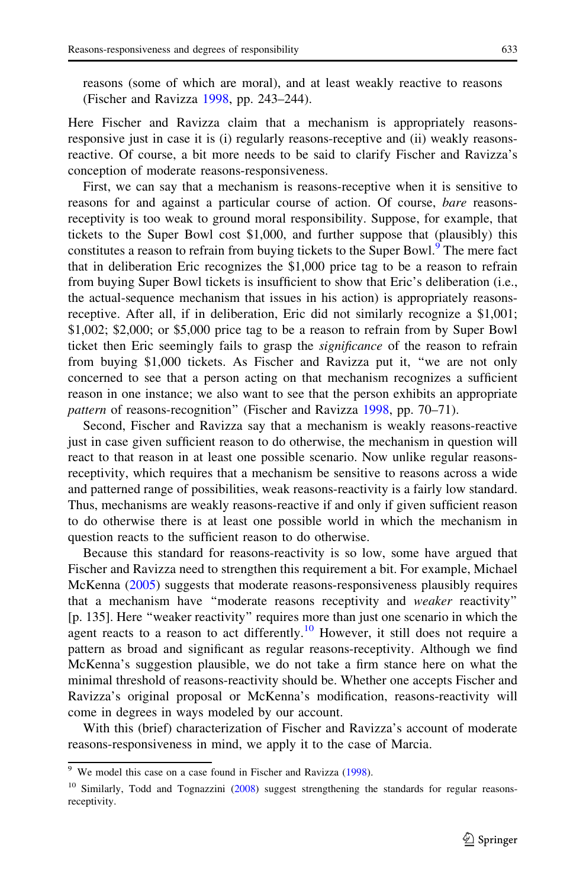reasons (some of which are moral), and at least weakly reactive to reasons (Fischer and Ravizza [1998,](#page-15-0) pp. 243–244).

Here Fischer and Ravizza claim that a mechanism is appropriately reasonsresponsive just in case it is (i) regularly reasons-receptive and (ii) weakly reasonsreactive. Of course, a bit more needs to be said to clarify Fischer and Ravizza's conception of moderate reasons-responsiveness.

First, we can say that a mechanism is reasons-receptive when it is sensitive to reasons for and against a particular course of action. Of course, bare reasonsreceptivity is too weak to ground moral responsibility. Suppose, for example, that tickets to the Super Bowl cost \$1,000, and further suppose that (plausibly) this constitutes a reason to refrain from buying tickets to the Super Bowl.<sup>9</sup> The mere fact that in deliberation Eric recognizes the \$1,000 price tag to be a reason to refrain from buying Super Bowl tickets is insufficient to show that Eric's deliberation (i.e., the actual-sequence mechanism that issues in his action) is appropriately reasonsreceptive. After all, if in deliberation, Eric did not similarly recognize a \$1,001; \$1,002; \$2,000; or \$5,000 price tag to be a reason to refrain from by Super Bowl ticket then Eric seemingly fails to grasp the *significance* of the reason to refrain from buying \$1,000 tickets. As Fischer and Ravizza put it, ''we are not only concerned to see that a person acting on that mechanism recognizes a sufficient reason in one instance; we also want to see that the person exhibits an appropriate pattern of reasons-recognition'' (Fischer and Ravizza [1998](#page-15-0), pp. 70–71).

Second, Fischer and Ravizza say that a mechanism is weakly reasons-reactive just in case given sufficient reason to do otherwise, the mechanism in question will react to that reason in at least one possible scenario. Now unlike regular reasonsreceptivity, which requires that a mechanism be sensitive to reasons across a wide and patterned range of possibilities, weak reasons-reactivity is a fairly low standard. Thus, mechanisms are weakly reasons-reactive if and only if given sufficient reason to do otherwise there is at least one possible world in which the mechanism in question reacts to the sufficient reason to do otherwise.

Because this standard for reasons-reactivity is so low, some have argued that Fischer and Ravizza need to strengthen this requirement a bit. For example, Michael McKenna [\(2005](#page-16-0)) suggests that moderate reasons-responsiveness plausibly requires that a mechanism have ''moderate reasons receptivity and weaker reactivity'' [p. 135]. Here ''weaker reactivity'' requires more than just one scenario in which the agent reacts to a reason to act differently.<sup>10</sup> However, it still does not require a pattern as broad and significant as regular reasons-receptivity. Although we find McKenna's suggestion plausible, we do not take a firm stance here on what the minimal threshold of reasons-reactivity should be. Whether one accepts Fischer and Ravizza's original proposal or McKenna's modification, reasons-reactivity will come in degrees in ways modeled by our account.

With this (brief) characterization of Fischer and Ravizza's account of moderate reasons-responsiveness in mind, we apply it to the case of Marcia.

<sup>9</sup> We model this case on a case found in Fischer and Ravizza [\(1998](#page-15-0)).

<sup>&</sup>lt;sup>10</sup> Similarly, Todd and Tognazzini ([2008\)](#page-16-0) suggest strengthening the standards for regular reasonsreceptivity.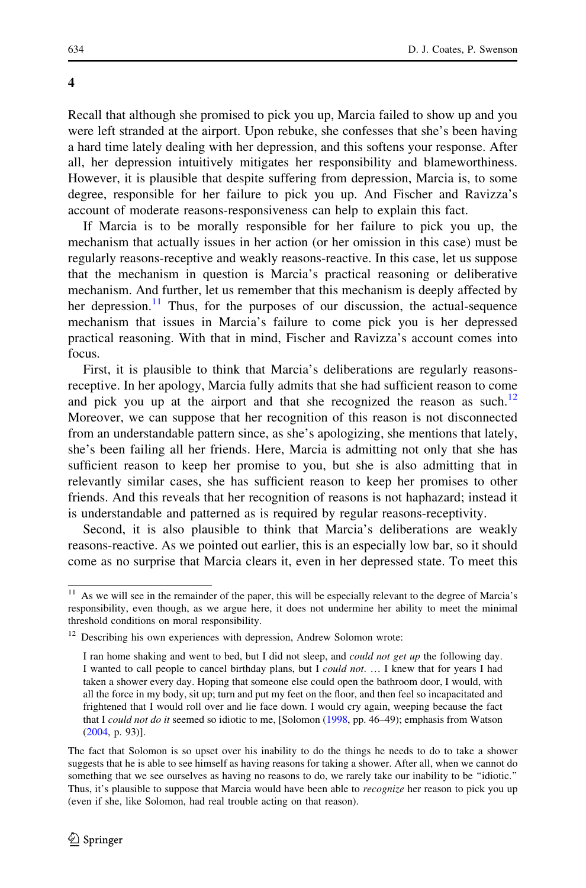Recall that although she promised to pick you up, Marcia failed to show up and you were left stranded at the airport. Upon rebuke, she confesses that she's been having a hard time lately dealing with her depression, and this softens your response. After all, her depression intuitively mitigates her responsibility and blameworthiness. However, it is plausible that despite suffering from depression, Marcia is, to some degree, responsible for her failure to pick you up. And Fischer and Ravizza's account of moderate reasons-responsiveness can help to explain this fact.

If Marcia is to be morally responsible for her failure to pick you up, the mechanism that actually issues in her action (or her omission in this case) must be regularly reasons-receptive and weakly reasons-reactive. In this case, let us suppose that the mechanism in question is Marcia's practical reasoning or deliberative mechanism. And further, let us remember that this mechanism is deeply affected by her depression.<sup>11</sup> Thus, for the purposes of our discussion, the actual-sequence mechanism that issues in Marcia's failure to come pick you is her depressed practical reasoning. With that in mind, Fischer and Ravizza's account comes into focus.

First, it is plausible to think that Marcia's deliberations are regularly reasonsreceptive. In her apology, Marcia fully admits that she had sufficient reason to come and pick you up at the airport and that she recognized the reason as such.<sup>12</sup> Moreover, we can suppose that her recognition of this reason is not disconnected from an understandable pattern since, as she's apologizing, she mentions that lately, she's been failing all her friends. Here, Marcia is admitting not only that she has sufficient reason to keep her promise to you, but she is also admitting that in relevantly similar cases, she has sufficient reason to keep her promises to other friends. And this reveals that her recognition of reasons is not haphazard; instead it is understandable and patterned as is required by regular reasons-receptivity.

Second, it is also plausible to think that Marcia's deliberations are weakly reasons-reactive. As we pointed out earlier, this is an especially low bar, so it should come as no surprise that Marcia clears it, even in her depressed state. To meet this

4

<sup>&</sup>lt;sup>11</sup> As we will see in the remainder of the paper, this will be especially relevant to the degree of Marcia's responsibility, even though, as we argue here, it does not undermine her ability to meet the minimal threshold conditions on moral responsibility.

<sup>&</sup>lt;sup>12</sup> Describing his own experiences with depression, Andrew Solomon wrote:

I ran home shaking and went to bed, but I did not sleep, and could not get up the following day. I wanted to call people to cancel birthday plans, but I could not. ... I knew that for years I had taken a shower every day. Hoping that someone else could open the bathroom door, I would, with all the force in my body, sit up; turn and put my feet on the floor, and then feel so incapacitated and frightened that I would roll over and lie face down. I would cry again, weeping because the fact that I could not do it seemed so idiotic to me, [Solomon ([1998,](#page-16-0) pp. 46–49); emphasis from Watson [\(2004,](#page-16-0) p. 93)].

The fact that Solomon is so upset over his inability to do the things he needs to do to take a shower suggests that he is able to see himself as having reasons for taking a shower. After all, when we cannot do something that we see ourselves as having no reasons to do, we rarely take our inability to be ''idiotic.'' Thus, it's plausible to suppose that Marcia would have been able to *recognize* her reason to pick you up (even if she, like Solomon, had real trouble acting on that reason).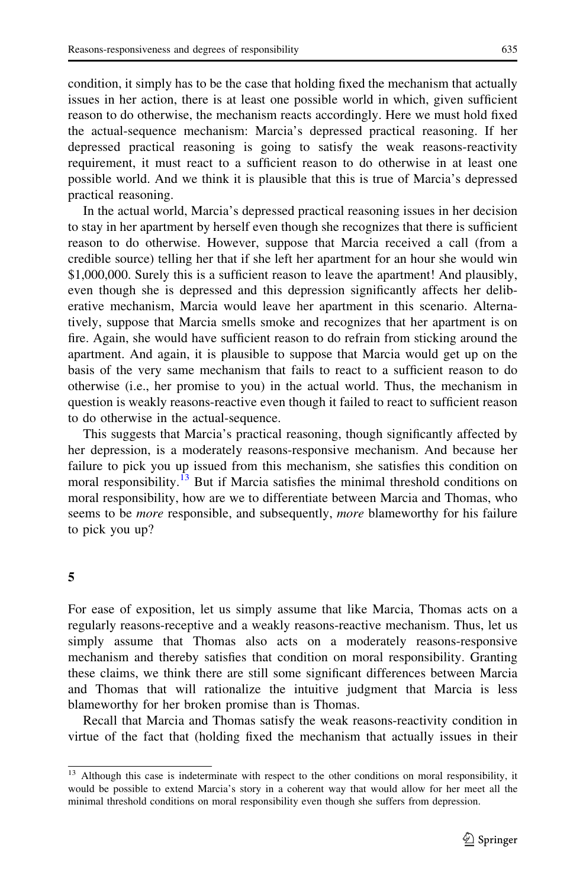<span id="page-6-0"></span>condition, it simply has to be the case that holding fixed the mechanism that actually issues in her action, there is at least one possible world in which, given sufficient reason to do otherwise, the mechanism reacts accordingly. Here we must hold fixed the actual-sequence mechanism: Marcia's depressed practical reasoning. If her depressed practical reasoning is going to satisfy the weak reasons-reactivity requirement, it must react to a sufficient reason to do otherwise in at least one possible world. And we think it is plausible that this is true of Marcia's depressed practical reasoning.

In the actual world, Marcia's depressed practical reasoning issues in her decision to stay in her apartment by herself even though she recognizes that there is sufficient reason to do otherwise. However, suppose that Marcia received a call (from a credible source) telling her that if she left her apartment for an hour she would win \$1,000,000. Surely this is a sufficient reason to leave the apartment! And plausibly, even though she is depressed and this depression significantly affects her deliberative mechanism, Marcia would leave her apartment in this scenario. Alternatively, suppose that Marcia smells smoke and recognizes that her apartment is on fire. Again, she would have sufficient reason to do refrain from sticking around the apartment. And again, it is plausible to suppose that Marcia would get up on the basis of the very same mechanism that fails to react to a sufficient reason to do otherwise (i.e., her promise to you) in the actual world. Thus, the mechanism in question is weakly reasons-reactive even though it failed to react to sufficient reason to do otherwise in the actual-sequence.

This suggests that Marcia's practical reasoning, though significantly affected by her depression, is a moderately reasons-responsive mechanism. And because her failure to pick you up issued from this mechanism, she satisfies this condition on moral responsibility.<sup>13</sup> But if Marcia satisfies the minimal threshold conditions on moral responsibility, how are we to differentiate between Marcia and Thomas, who seems to be *more* responsible, and subsequently, *more* blameworthy for his failure to pick you up?

#### 5

For ease of exposition, let us simply assume that like Marcia, Thomas acts on a regularly reasons-receptive and a weakly reasons-reactive mechanism. Thus, let us simply assume that Thomas also acts on a moderately reasons-responsive mechanism and thereby satisfies that condition on moral responsibility. Granting these claims, we think there are still some significant differences between Marcia and Thomas that will rationalize the intuitive judgment that Marcia is less blameworthy for her broken promise than is Thomas.

Recall that Marcia and Thomas satisfy the weak reasons-reactivity condition in virtue of the fact that (holding fixed the mechanism that actually issues in their

 $\frac{13}{13}$  Although this case is indeterminate with respect to the other conditions on moral responsibility, it would be possible to extend Marcia's story in a coherent way that would allow for her meet all the minimal threshold conditions on moral responsibility even though she suffers from depression.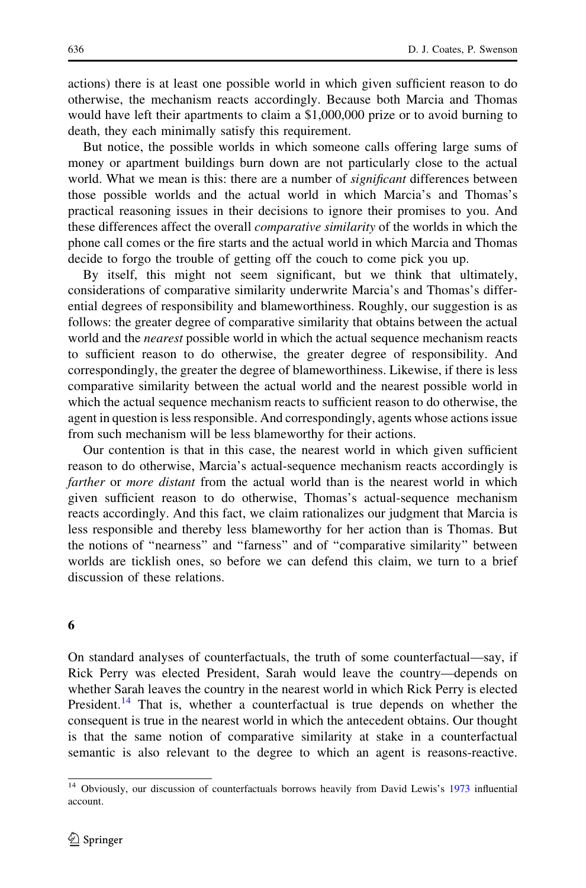<span id="page-7-0"></span>actions) there is at least one possible world in which given sufficient reason to do otherwise, the mechanism reacts accordingly. Because both Marcia and Thomas would have left their apartments to claim a \$1,000,000 prize or to avoid burning to death, they each minimally satisfy this requirement.

But notice, the possible worlds in which someone calls offering large sums of money or apartment buildings burn down are not particularly close to the actual world. What we mean is this: there are a number of *significant* differences between those possible worlds and the actual world in which Marcia's and Thomas's practical reasoning issues in their decisions to ignore their promises to you. And these differences affect the overall comparative similarity of the worlds in which the phone call comes or the fire starts and the actual world in which Marcia and Thomas decide to forgo the trouble of getting off the couch to come pick you up.

By itself, this might not seem significant, but we think that ultimately, considerations of comparative similarity underwrite Marcia's and Thomas's differential degrees of responsibility and blameworthiness. Roughly, our suggestion is as follows: the greater degree of comparative similarity that obtains between the actual world and the *nearest* possible world in which the actual sequence mechanism reacts to sufficient reason to do otherwise, the greater degree of responsibility. And correspondingly, the greater the degree of blameworthiness. Likewise, if there is less comparative similarity between the actual world and the nearest possible world in which the actual sequence mechanism reacts to sufficient reason to do otherwise, the agent in question is less responsible. And correspondingly, agents whose actions issue from such mechanism will be less blameworthy for their actions.

Our contention is that in this case, the nearest world in which given sufficient reason to do otherwise, Marcia's actual-sequence mechanism reacts accordingly is farther or *more distant* from the actual world than is the nearest world in which given sufficient reason to do otherwise, Thomas's actual-sequence mechanism reacts accordingly. And this fact, we claim rationalizes our judgment that Marcia is less responsible and thereby less blameworthy for her action than is Thomas. But the notions of ''nearness'' and ''farness'' and of ''comparative similarity'' between worlds are ticklish ones, so before we can defend this claim, we turn to a brief discussion of these relations.

# 6

On standard analyses of counterfactuals, the truth of some counterfactual—say, if Rick Perry was elected President, Sarah would leave the country—depends on whether Sarah leaves the country in the nearest world in which Rick Perry is elected President.<sup>14</sup> That is, whether a counterfactual is true depends on whether the consequent is true in the nearest world in which the antecedent obtains. Our thought is that the same notion of comparative similarity at stake in a counterfactual semantic is also relevant to the degree to which an agent is reasons-reactive.

<sup>14</sup> Obviously, our discussion of counterfactuals borrows heavily from David Lewis's [1973](#page-16-0) influential account.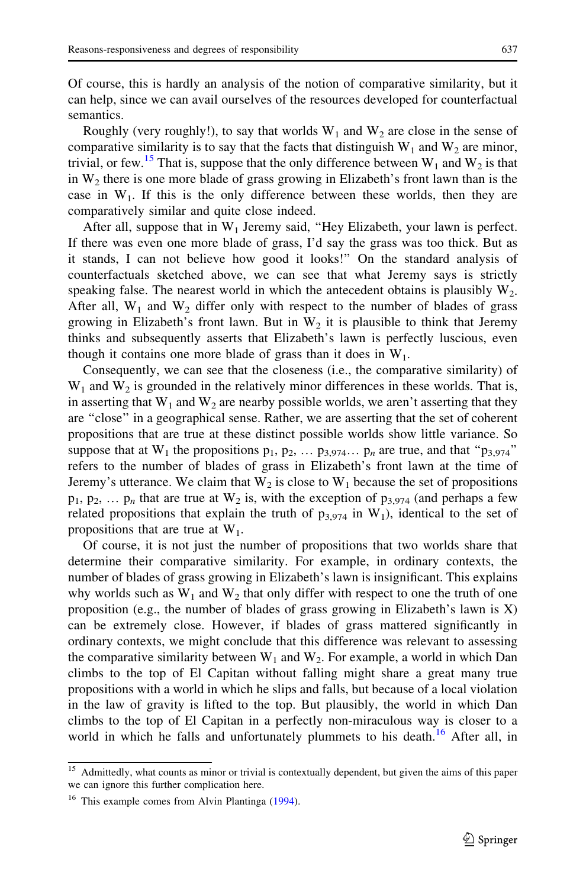Of course, this is hardly an analysis of the notion of comparative similarity, but it can help, since we can avail ourselves of the resources developed for counterfactual semantics.

Roughly (very roughly!), to say that worlds  $W_1$  and  $W_2$  are close in the sense of comparative similarity is to say that the facts that distinguish  $W_1$  and  $W_2$  are minor, trivial, or few.<sup>15</sup> That is, suppose that the only difference between  $W_1$  and  $W_2$  is that in  $W<sub>2</sub>$  there is one more blade of grass growing in Elizabeth's front lawn than is the case in  $W_1$ . If this is the only difference between these worlds, then they are comparatively similar and quite close indeed.

After all, suppose that in  $W_1$  Jeremy said, "Hey Elizabeth, your lawn is perfect. If there was even one more blade of grass, I'd say the grass was too thick. But as it stands, I can not believe how good it looks!'' On the standard analysis of counterfactuals sketched above, we can see that what Jeremy says is strictly speaking false. The nearest world in which the antecedent obtains is plausibly  $W_2$ . After all,  $W_1$  and  $W_2$  differ only with respect to the number of blades of grass growing in Elizabeth's front lawn. But in  $W_2$  it is plausible to think that Jeremy thinks and subsequently asserts that Elizabeth's lawn is perfectly luscious, even though it contains one more blade of grass than it does in  $W_1$ .

Consequently, we can see that the closeness (i.e., the comparative similarity) of  $W_1$  and  $W_2$  is grounded in the relatively minor differences in these worlds. That is, in asserting that  $W_1$  and  $W_2$  are nearby possible worlds, we aren't asserting that they are ''close'' in a geographical sense. Rather, we are asserting that the set of coherent propositions that are true at these distinct possible worlds show little variance. So suppose that at  $W_1$  the propositions  $p_1, p_2, \ldots p_{3,974} \ldots p_n$  are true, and that " $p_{3,974}$ " refers to the number of blades of grass in Elizabeth's front lawn at the time of Jeremy's utterance. We claim that  $W_2$  is close to  $W_1$  because the set of propositions  $p_1, p_2, \ldots, p_n$  that are true at  $W_2$  is, with the exception of  $p_{3,974}$  (and perhaps a few related propositions that explain the truth of  $p_{3,974}$  in W<sub>1</sub>), identical to the set of propositions that are true at  $W_1$ .

Of course, it is not just the number of propositions that two worlds share that determine their comparative similarity. For example, in ordinary contexts, the number of blades of grass growing in Elizabeth's lawn is insignificant. This explains why worlds such as  $W_1$  and  $W_2$  that only differ with respect to one the truth of one proposition (e.g., the number of blades of grass growing in Elizabeth's lawn is  $X$ ) can be extremely close. However, if blades of grass mattered significantly in ordinary contexts, we might conclude that this difference was relevant to assessing the comparative similarity between  $W_1$  and  $W_2$ . For example, a world in which Dan climbs to the top of El Capitan without falling might share a great many true propositions with a world in which he slips and falls, but because of a local violation in the law of gravity is lifted to the top. But plausibly, the world in which Dan climbs to the top of El Capitan in a perfectly non-miraculous way is closer to a world in which he falls and unfortunately plummets to his death.<sup>16</sup> After all, in

<sup>&</sup>lt;sup>15</sup> Admittedly, what counts as minor or trivial is contextually dependent, but given the aims of this paper we can ignore this further complication here.

<sup>&</sup>lt;sup>16</sup> This example comes from Alvin Plantinga ([1994\)](#page-16-0).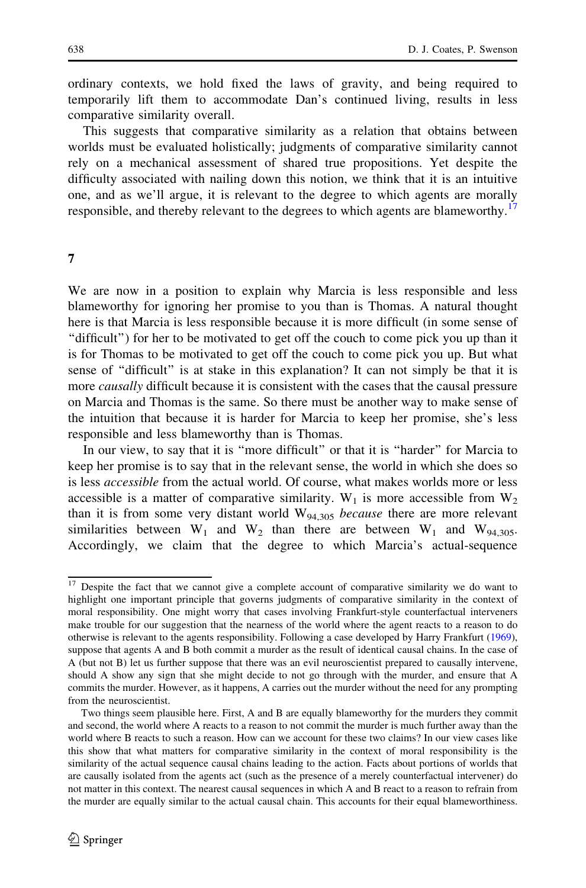<span id="page-9-0"></span>ordinary contexts, we hold fixed the laws of gravity, and being required to temporarily lift them to accommodate Dan's continued living, results in less comparative similarity overall.

This suggests that comparative similarity as a relation that obtains between worlds must be evaluated holistically; judgments of comparative similarity cannot rely on a mechanical assessment of shared true propositions. Yet despite the difficulty associated with nailing down this notion, we think that it is an intuitive one, and as we'll argue, it is relevant to the degree to which agents are morally responsible, and thereby relevant to the degrees to which agents are blameworthy.<sup>17</sup>

#### 7

We are now in a position to explain why Marcia is less responsible and less blameworthy for ignoring her promise to you than is Thomas. A natural thought here is that Marcia is less responsible because it is more difficult (in some sense of ''difficult'') for her to be motivated to get off the couch to come pick you up than it is for Thomas to be motivated to get off the couch to come pick you up. But what sense of ''difficult'' is at stake in this explanation? It can not simply be that it is more *causally* difficult because it is consistent with the cases that the causal pressure on Marcia and Thomas is the same. So there must be another way to make sense of the intuition that because it is harder for Marcia to keep her promise, she's less responsible and less blameworthy than is Thomas.

In our view, to say that it is ''more difficult'' or that it is ''harder'' for Marcia to keep her promise is to say that in the relevant sense, the world in which she does so is less *accessible* from the actual world. Of course, what makes worlds more or less accessible is a matter of comparative similarity.  $W_1$  is more accessible from  $W_2$ than it is from some very distant world  $W_{94,305}$  *because* there are more relevant similarities between  $W_1$  and  $W_2$  than there are between  $W_1$  and  $W_{94,305}$ . Accordingly, we claim that the degree to which Marcia's actual-sequence

 $17$  Despite the fact that we cannot give a complete account of comparative similarity we do want to highlight one important principle that governs judgments of comparative similarity in the context of moral responsibility. One might worry that cases involving Frankfurt-style counterfactual interveners make trouble for our suggestion that the nearness of the world where the agent reacts to a reason to do otherwise is relevant to the agents responsibility. Following a case developed by Harry Frankfurt ([1969\)](#page-15-0), suppose that agents A and B both commit a murder as the result of identical causal chains. In the case of A (but not B) let us further suppose that there was an evil neuroscientist prepared to causally intervene, should A show any sign that she might decide to not go through with the murder, and ensure that A commits the murder. However, as it happens, A carries out the murder without the need for any prompting from the neuroscientist.

Two things seem plausible here. First, A and B are equally blameworthy for the murders they commit and second, the world where A reacts to a reason to not commit the murder is much further away than the world where B reacts to such a reason. How can we account for these two claims? In our view cases like this show that what matters for comparative similarity in the context of moral responsibility is the similarity of the actual sequence causal chains leading to the action. Facts about portions of worlds that are causally isolated from the agents act (such as the presence of a merely counterfactual intervener) do not matter in this context. The nearest causal sequences in which A and B react to a reason to refrain from the murder are equally similar to the actual causal chain. This accounts for their equal blameworthiness.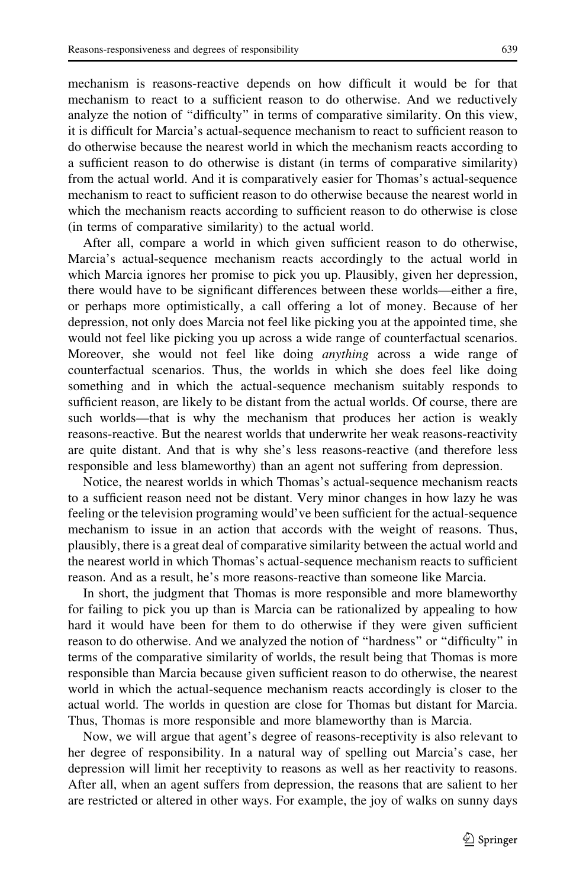mechanism is reasons-reactive depends on how difficult it would be for that mechanism to react to a sufficient reason to do otherwise. And we reductively analyze the notion of ''difficulty'' in terms of comparative similarity. On this view, it is difficult for Marcia's actual-sequence mechanism to react to sufficient reason to do otherwise because the nearest world in which the mechanism reacts according to a sufficient reason to do otherwise is distant (in terms of comparative similarity) from the actual world. And it is comparatively easier for Thomas's actual-sequence mechanism to react to sufficient reason to do otherwise because the nearest world in which the mechanism reacts according to sufficient reason to do otherwise is close (in terms of comparative similarity) to the actual world.

After all, compare a world in which given sufficient reason to do otherwise, Marcia's actual-sequence mechanism reacts accordingly to the actual world in which Marcia ignores her promise to pick you up. Plausibly, given her depression, there would have to be significant differences between these worlds—either a fire, or perhaps more optimistically, a call offering a lot of money. Because of her depression, not only does Marcia not feel like picking you at the appointed time, she would not feel like picking you up across a wide range of counterfactual scenarios. Moreover, she would not feel like doing anything across a wide range of counterfactual scenarios. Thus, the worlds in which she does feel like doing something and in which the actual-sequence mechanism suitably responds to sufficient reason, are likely to be distant from the actual worlds. Of course, there are such worlds—that is why the mechanism that produces her action is weakly reasons-reactive. But the nearest worlds that underwrite her weak reasons-reactivity are quite distant. And that is why she's less reasons-reactive (and therefore less responsible and less blameworthy) than an agent not suffering from depression.

Notice, the nearest worlds in which Thomas's actual-sequence mechanism reacts to a sufficient reason need not be distant. Very minor changes in how lazy he was feeling or the television programing would've been sufficient for the actual-sequence mechanism to issue in an action that accords with the weight of reasons. Thus, plausibly, there is a great deal of comparative similarity between the actual world and the nearest world in which Thomas's actual-sequence mechanism reacts to sufficient reason. And as a result, he's more reasons-reactive than someone like Marcia.

In short, the judgment that Thomas is more responsible and more blameworthy for failing to pick you up than is Marcia can be rationalized by appealing to how hard it would have been for them to do otherwise if they were given sufficient reason to do otherwise. And we analyzed the notion of ''hardness'' or ''difficulty'' in terms of the comparative similarity of worlds, the result being that Thomas is more responsible than Marcia because given sufficient reason to do otherwise, the nearest world in which the actual-sequence mechanism reacts accordingly is closer to the actual world. The worlds in question are close for Thomas but distant for Marcia. Thus, Thomas is more responsible and more blameworthy than is Marcia.

Now, we will argue that agent's degree of reasons-receptivity is also relevant to her degree of responsibility. In a natural way of spelling out Marcia's case, her depression will limit her receptivity to reasons as well as her reactivity to reasons. After all, when an agent suffers from depression, the reasons that are salient to her are restricted or altered in other ways. For example, the joy of walks on sunny days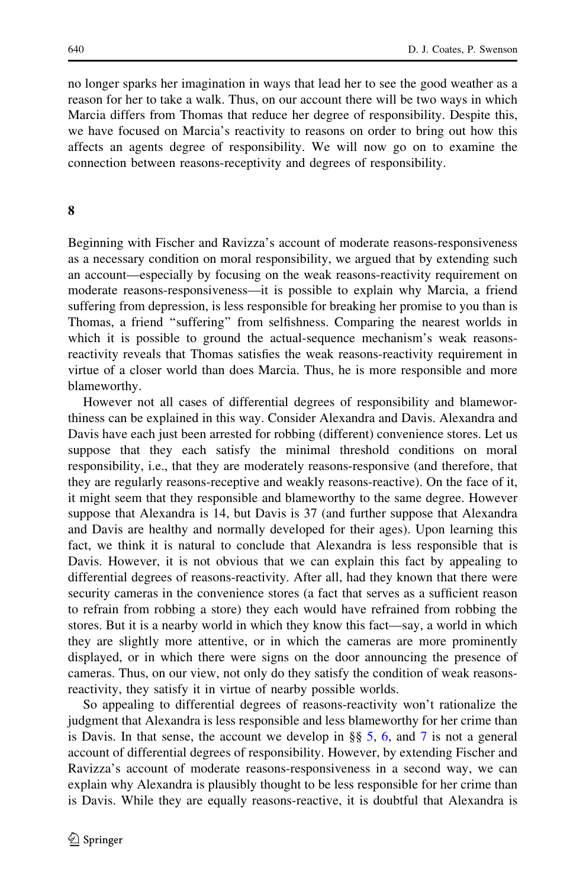<span id="page-11-0"></span>no longer sparks her imagination in ways that lead her to see the good weather as a reason for her to take a walk. Thus, on our account there will be two ways in which Marcia differs from Thomas that reduce her degree of responsibility. Despite this, we have focused on Marcia's reactivity to reasons on order to bring out how this affects an agents degree of responsibility. We will now go on to examine the connection between reasons-receptivity and degrees of responsibility.

# 8

Beginning with Fischer and Ravizza's account of moderate reasons-responsiveness as a necessary condition on moral responsibility, we argued that by extending such an account—especially by focusing on the weak reasons-reactivity requirement on moderate reasons-responsiveness—it is possible to explain why Marcia, a friend suffering from depression, is less responsible for breaking her promise to you than is Thomas, a friend ''suffering'' from selfishness. Comparing the nearest worlds in which it is possible to ground the actual-sequence mechanism's weak reasonsreactivity reveals that Thomas satisfies the weak reasons-reactivity requirement in virtue of a closer world than does Marcia. Thus, he is more responsible and more blameworthy.

However not all cases of differential degrees of responsibility and blameworthiness can be explained in this way. Consider Alexandra and Davis. Alexandra and Davis have each just been arrested for robbing (different) convenience stores. Let us suppose that they each satisfy the minimal threshold conditions on moral responsibility, i.e., that they are moderately reasons-responsive (and therefore, that they are regularly reasons-receptive and weakly reasons-reactive). On the face of it, it might seem that they responsible and blameworthy to the same degree. However suppose that Alexandra is 14, but Davis is 37 (and further suppose that Alexandra and Davis are healthy and normally developed for their ages). Upon learning this fact, we think it is natural to conclude that Alexandra is less responsible that is Davis. However, it is not obvious that we can explain this fact by appealing to differential degrees of reasons-reactivity. After all, had they known that there were security cameras in the convenience stores (a fact that serves as a sufficient reason to refrain from robbing a store) they each would have refrained from robbing the stores. But it is a nearby world in which they know this fact—say, a world in which they are slightly more attentive, or in which the cameras are more prominently displayed, or in which there were signs on the door announcing the presence of cameras. Thus, on our view, not only do they satisfy the condition of weak reasonsreactivity, they satisfy it in virtue of nearby possible worlds.

So appealing to differential degrees of reasons-reactivity won't rationalize the judgment that Alexandra is less responsible and less blameworthy for her crime than is Davis. In that sense, the account we develop in  $\S$ § [5](#page-6-0), [6](#page-7-0), and [7](#page-9-0) is not a general account of differential degrees of responsibility. However, by extending Fischer and Ravizza's account of moderate reasons-responsiveness in a second way, we can explain why Alexandra is plausibly thought to be less responsible for her crime than is Davis. While they are equally reasons-reactive, it is doubtful that Alexandra is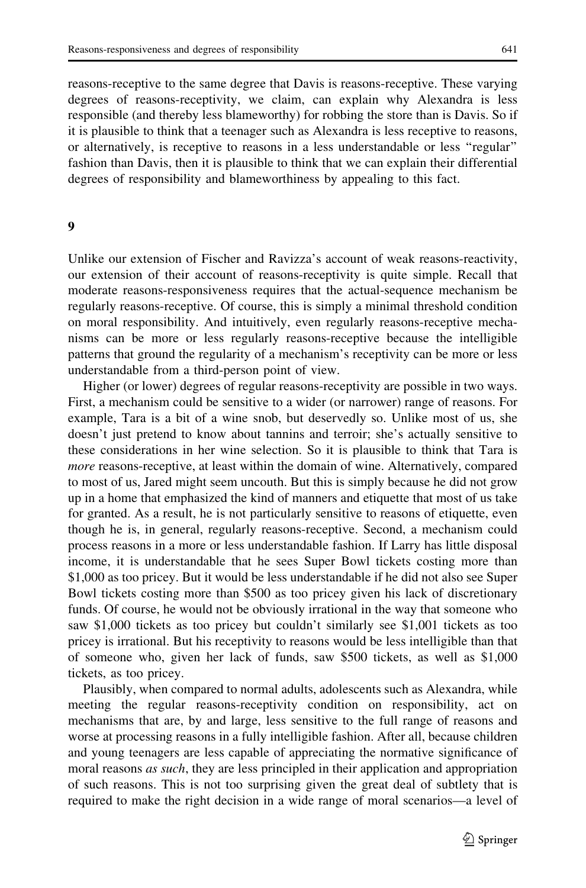<span id="page-12-0"></span>reasons-receptive to the same degree that Davis is reasons-receptive. These varying degrees of reasons-receptivity, we claim, can explain why Alexandra is less responsible (and thereby less blameworthy) for robbing the store than is Davis. So if it is plausible to think that a teenager such as Alexandra is less receptive to reasons, or alternatively, is receptive to reasons in a less understandable or less ''regular'' fashion than Davis, then it is plausible to think that we can explain their differential degrees of responsibility and blameworthiness by appealing to this fact.

#### 9

Unlike our extension of Fischer and Ravizza's account of weak reasons-reactivity, our extension of their account of reasons-receptivity is quite simple. Recall that moderate reasons-responsiveness requires that the actual-sequence mechanism be regularly reasons-receptive. Of course, this is simply a minimal threshold condition on moral responsibility. And intuitively, even regularly reasons-receptive mechanisms can be more or less regularly reasons-receptive because the intelligible patterns that ground the regularity of a mechanism's receptivity can be more or less understandable from a third-person point of view.

Higher (or lower) degrees of regular reasons-receptivity are possible in two ways. First, a mechanism could be sensitive to a wider (or narrower) range of reasons. For example, Tara is a bit of a wine snob, but deservedly so. Unlike most of us, she doesn't just pretend to know about tannins and terroir; she's actually sensitive to these considerations in her wine selection. So it is plausible to think that Tara is more reasons-receptive, at least within the domain of wine. Alternatively, compared to most of us, Jared might seem uncouth. But this is simply because he did not grow up in a home that emphasized the kind of manners and etiquette that most of us take for granted. As a result, he is not particularly sensitive to reasons of etiquette, even though he is, in general, regularly reasons-receptive. Second, a mechanism could process reasons in a more or less understandable fashion. If Larry has little disposal income, it is understandable that he sees Super Bowl tickets costing more than \$1,000 as too pricey. But it would be less understandable if he did not also see Super Bowl tickets costing more than \$500 as too pricey given his lack of discretionary funds. Of course, he would not be obviously irrational in the way that someone who saw \$1,000 tickets as too pricey but couldn't similarly see \$1,001 tickets as too pricey is irrational. But his receptivity to reasons would be less intelligible than that of someone who, given her lack of funds, saw \$500 tickets, as well as \$1,000 tickets, as too pricey.

Plausibly, when compared to normal adults, adolescents such as Alexandra, while meeting the regular reasons-receptivity condition on responsibility, act on mechanisms that are, by and large, less sensitive to the full range of reasons and worse at processing reasons in a fully intelligible fashion. After all, because children and young teenagers are less capable of appreciating the normative significance of moral reasons *as such*, they are less principled in their application and appropriation of such reasons. This is not too surprising given the great deal of subtlety that is required to make the right decision in a wide range of moral scenarios—a level of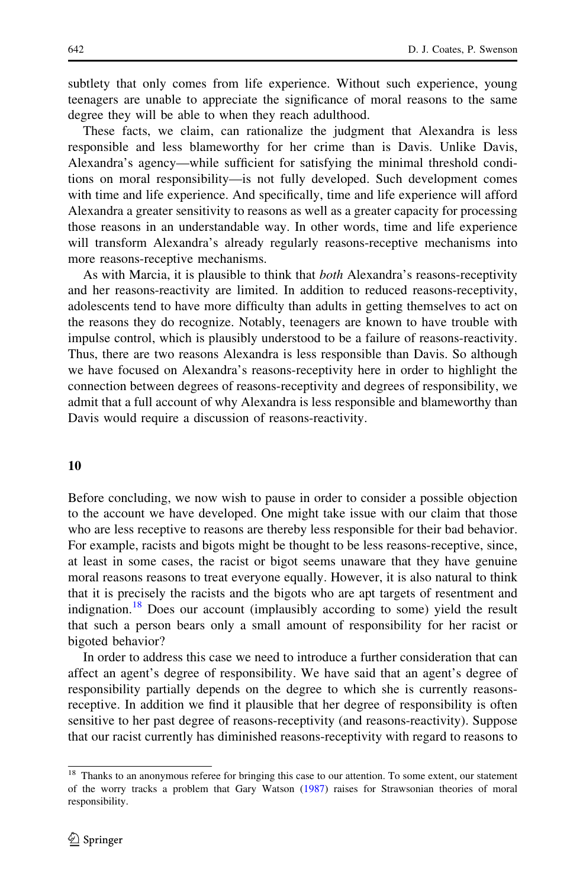<span id="page-13-0"></span>subtlety that only comes from life experience. Without such experience, young teenagers are unable to appreciate the significance of moral reasons to the same degree they will be able to when they reach adulthood.

These facts, we claim, can rationalize the judgment that Alexandra is less responsible and less blameworthy for her crime than is Davis. Unlike Davis, Alexandra's agency—while sufficient for satisfying the minimal threshold conditions on moral responsibility—is not fully developed. Such development comes with time and life experience. And specifically, time and life experience will afford Alexandra a greater sensitivity to reasons as well as a greater capacity for processing those reasons in an understandable way. In other words, time and life experience will transform Alexandra's already regularly reasons-receptive mechanisms into more reasons-receptive mechanisms.

As with Marcia, it is plausible to think that both Alexandra's reasons-receptivity and her reasons-reactivity are limited. In addition to reduced reasons-receptivity, adolescents tend to have more difficulty than adults in getting themselves to act on the reasons they do recognize. Notably, teenagers are known to have trouble with impulse control, which is plausibly understood to be a failure of reasons-reactivity. Thus, there are two reasons Alexandra is less responsible than Davis. So although we have focused on Alexandra's reasons-receptivity here in order to highlight the connection between degrees of reasons-receptivity and degrees of responsibility, we admit that a full account of why Alexandra is less responsible and blameworthy than Davis would require a discussion of reasons-reactivity.

# 10

Before concluding, we now wish to pause in order to consider a possible objection to the account we have developed. One might take issue with our claim that those who are less receptive to reasons are thereby less responsible for their bad behavior. For example, racists and bigots might be thought to be less reasons-receptive, since, at least in some cases, the racist or bigot seems unaware that they have genuine moral reasons reasons to treat everyone equally. However, it is also natural to think that it is precisely the racists and the bigots who are apt targets of resentment and indignation.<sup>18</sup> Does our account (implausibly according to some) yield the result that such a person bears only a small amount of responsibility for her racist or bigoted behavior?

In order to address this case we need to introduce a further consideration that can affect an agent's degree of responsibility. We have said that an agent's degree of responsibility partially depends on the degree to which she is currently reasonsreceptive. In addition we find it plausible that her degree of responsibility is often sensitive to her past degree of reasons-receptivity (and reasons-reactivity). Suppose that our racist currently has diminished reasons-receptivity with regard to reasons to

<sup>&</sup>lt;sup>18</sup> Thanks to an anonymous referee for bringing this case to our attention. To some extent, our statement of the worry tracks a problem that Gary Watson ([1987\)](#page-16-0) raises for Strawsonian theories of moral responsibility.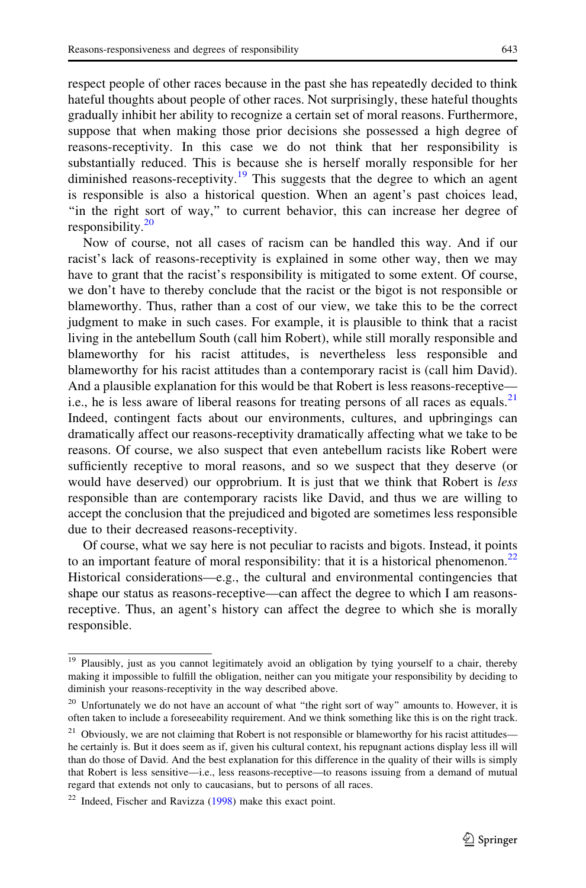respect people of other races because in the past she has repeatedly decided to think hateful thoughts about people of other races. Not surprisingly, these hateful thoughts gradually inhibit her ability to recognize a certain set of moral reasons. Furthermore, suppose that when making those prior decisions she possessed a high degree of reasons-receptivity. In this case we do not think that her responsibility is substantially reduced. This is because she is herself morally responsible for her diminished reasons-receptivity.<sup>19</sup> This suggests that the degree to which an agent is responsible is also a historical question. When an agent's past choices lead, "in the right sort of way," to current behavior, this can increase her degree of responsibility.<sup>20</sup>

Now of course, not all cases of racism can be handled this way. And if our racist's lack of reasons-receptivity is explained in some other way, then we may have to grant that the racist's responsibility is mitigated to some extent. Of course, we don't have to thereby conclude that the racist or the bigot is not responsible or blameworthy. Thus, rather than a cost of our view, we take this to be the correct judgment to make in such cases. For example, it is plausible to think that a racist living in the antebellum South (call him Robert), while still morally responsible and blameworthy for his racist attitudes, is nevertheless less responsible and blameworthy for his racist attitudes than a contemporary racist is (call him David). And a plausible explanation for this would be that Robert is less reasons-receptive i.e., he is less aware of liberal reasons for treating persons of all races as equals.<sup>21</sup> Indeed, contingent facts about our environments, cultures, and upbringings can dramatically affect our reasons-receptivity dramatically affecting what we take to be reasons. Of course, we also suspect that even antebellum racists like Robert were sufficiently receptive to moral reasons, and so we suspect that they deserve (or would have deserved) our opprobrium. It is just that we think that Robert is *less* responsible than are contemporary racists like David, and thus we are willing to accept the conclusion that the prejudiced and bigoted are sometimes less responsible due to their decreased reasons-receptivity.

Of course, what we say here is not peculiar to racists and bigots. Instead, it points to an important feature of moral responsibility: that it is a historical phenomenon.<sup>22</sup> Historical considerations—e.g., the cultural and environmental contingencies that shape our status as reasons-receptive—can affect the degree to which I am reasonsreceptive. Thus, an agent's history can affect the degree to which she is morally responsible.

<sup>&</sup>lt;sup>19</sup> Plausibly, just as you cannot legitimately avoid an obligation by tying yourself to a chair, thereby making it impossible to fulfill the obligation, neither can you mitigate your responsibility by deciding to diminish your reasons-receptivity in the way described above.

<sup>&</sup>lt;sup>20</sup> Unfortunately we do not have an account of what "the right sort of way" amounts to. However, it is often taken to include a foreseeability requirement. And we think something like this is on the right track.

 $21$  Obviously, we are not claiming that Robert is not responsible or blameworthy for his racist attitudes he certainly is. But it does seem as if, given his cultural context, his repugnant actions display less ill will than do those of David. And the best explanation for this difference in the quality of their wills is simply that Robert is less sensitive—i.e., less reasons-receptive—to reasons issuing from a demand of mutual regard that extends not only to caucasians, but to persons of all races.

 $22$  Indeed, Fischer and Ravizza ([1998\)](#page-15-0) make this exact point.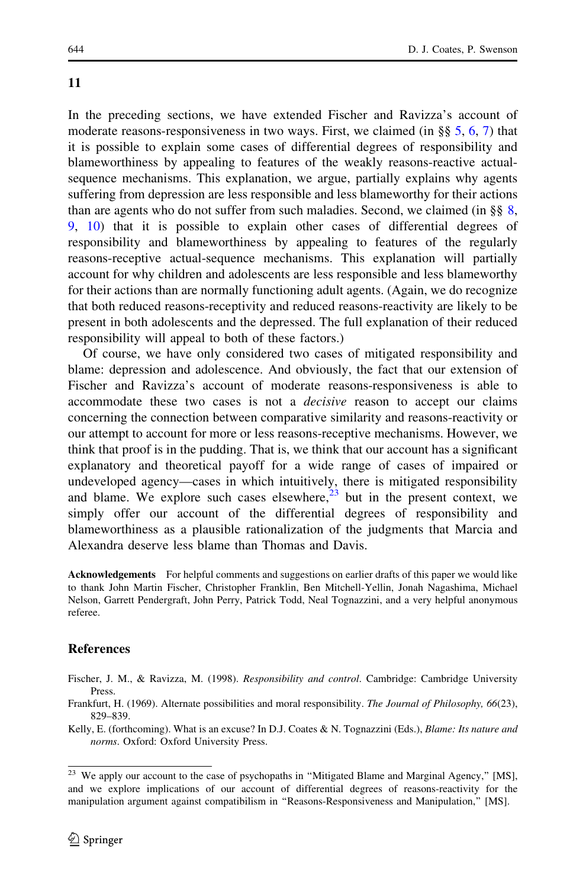In the preceding sections, we have extended Fischer and Ravizza's account of moderate reasons-responsiveness in two ways. First, we claimed (in  $\S$ § [5](#page-6-0), [6,](#page-7-0) [7](#page-9-0)) that it is possible to explain some cases of differential degrees of responsibility and blameworthiness by appealing to features of the weakly reasons-reactive actualsequence mechanisms. This explanation, we argue, partially explains why agents suffering from depression are less responsible and less blameworthy for their actions than are agents who do not suffer from such maladies. Second, we claimed (in  $\S$ § [8,](#page-11-0) [9](#page-12-0), [10](#page-13-0)) that it is possible to explain other cases of differential degrees of responsibility and blameworthiness by appealing to features of the regularly reasons-receptive actual-sequence mechanisms. This explanation will partially account for why children and adolescents are less responsible and less blameworthy for their actions than are normally functioning adult agents. (Again, we do recognize that both reduced reasons-receptivity and reduced reasons-reactivity are likely to be present in both adolescents and the depressed. The full explanation of their reduced responsibility will appeal to both of these factors.)

Of course, we have only considered two cases of mitigated responsibility and blame: depression and adolescence. And obviously, the fact that our extension of Fischer and Ravizza's account of moderate reasons-responsiveness is able to accommodate these two cases is not a decisive reason to accept our claims concerning the connection between comparative similarity and reasons-reactivity or our attempt to account for more or less reasons-receptive mechanisms. However, we think that proof is in the pudding. That is, we think that our account has a significant explanatory and theoretical payoff for a wide range of cases of impaired or undeveloped agency—cases in which intuitively, there is mitigated responsibility and blame. We explore such cases elsewhere, $2<sup>3</sup>$  but in the present context, we simply offer our account of the differential degrees of responsibility and blameworthiness as a plausible rationalization of the judgments that Marcia and Alexandra deserve less blame than Thomas and Davis.

Acknowledgements For helpful comments and suggestions on earlier drafts of this paper we would like to thank John Martin Fischer, Christopher Franklin, Ben Mitchell-Yellin, Jonah Nagashima, Michael Nelson, Garrett Pendergraft, John Perry, Patrick Todd, Neal Tognazzini, and a very helpful anonymous referee.

#### **References**

- Fischer, J. M., & Ravizza, M. (1998). Responsibility and control. Cambridge: Cambridge University Press.
- Frankfurt, H. (1969). Alternate possibilities and moral responsibility. The Journal of Philosophy, 66(23), 829–839.
- Kelly, E. (forthcoming). What is an excuse? In D.J. Coates & N. Tognazzini (Eds.), Blame: Its nature and norms. Oxford: Oxford University Press.

<span id="page-15-0"></span>11

<sup>&</sup>lt;sup>23</sup> We apply our account to the case of psychopaths in "Mitigated Blame and Marginal Agency," [MS], and we explore implications of our account of differential degrees of reasons-reactivity for the manipulation argument against compatibilism in ''Reasons-Responsiveness and Manipulation,'' [MS].